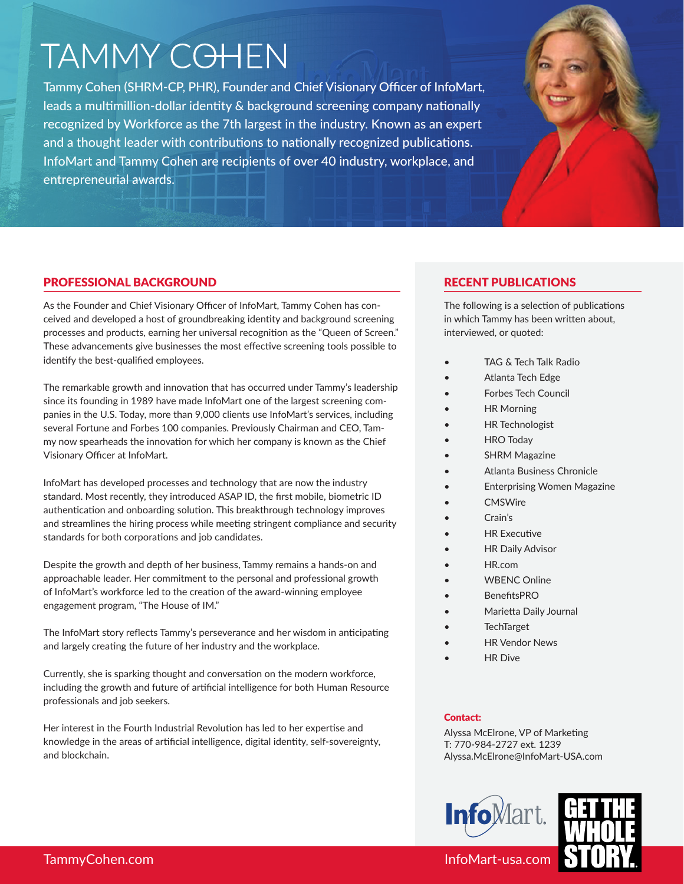# **TAMMY COHEN**

Tammy Cohen (SHRM-CP, PHR), Founder and Chief Visionary Officer of InfoMart, leads a multimillion-dollar identity & background screening company nationally recognized by Workforce as the 7th largest in the industry. Known as an expert and a thought leader with contributions to nationally recognized publications. InfoMart and Tammy Cohen are recipients of over 40 industry, workplace, and entrepreneurial awards.



# PROFESSIONAL BACKGROUND

As the Founder and Chief Visionary Officer of InfoMart, Tammy Cohen has conceived and developed a host of groundbreaking identity and background screening processes and products, earning her universal recognition as the "Queen of Screen." These advancements give businesses the most effective screening tools possible to identify the best-qualified employees.

The remarkable growth and innovation that has occurred under Tammy's leadership since its founding in 1989 have made InfoMart one of the largest screening companies in the U.S. Today, more than 9,000 clients use InfoMart's services, including several Fortune and Forbes 100 companies. Previously Chairman and CEO, Tammy now spearheads the innovation for which her company is known as the Chief Visionary Officer at InfoMart.

InfoMart has developed processes and technology that are now the industry standard. Most recently, they introduced ASAP ID, the first mobile, biometric ID authentication and onboarding solution. This breakthrough technology improves and streamlines the hiring process while meeting stringent compliance and security standards for both corporations and job candidates.

Despite the growth and depth of her business, Tammy remains a hands-on and approachable leader. Her commitment to the personal and professional growth of InfoMart's workforce led to the creation of the award-winning employee engagement program, "The House of IM."

The InfoMart story reflects Tammy's perseverance and her wisdom in anticipating and largely creating the future of her industry and the workplace.

Currently, she is sparking thought and conversation on the modern workforce, including the growth and future of artificial intelligence for both Human Resource professionals and job seekers.

Her interest in the Fourth Industrial Revolution has led to her expertise and knowledge in the areas of artificial intelligence, digital identity, self-sovereignty, and blockchain.

# RECENT PUBLICATIONS

The following is a selection of publications in which Tammy has been written about, interviewed, or quoted:

- TAG & Tech Talk Radio
- Atlanta Tech Edge
- Forbes Tech Council
- HR Morning
- HR Technologist
- HRO Today
- **SHRM Magazine**
- Atlanta Business Chronicle
- Enterprising Women Magazine
	- **CMSWire**
	- Crain's
	- **HR Executive**
- **HR Daily Advisor** 
	- HR.com
- WBENC Online
- BenefitsPRO
- Marietta Daily Journal
- **TechTarget**
- **HR Vendor News**
- **HR** Dive

# Contact:

Alyssa McElrone, VP of Marketing T: 770-984-2727 ext. 1239 Alyssa.McElrone@InfoMart-USA.com





TammyCohen.com InfoMart-usa.com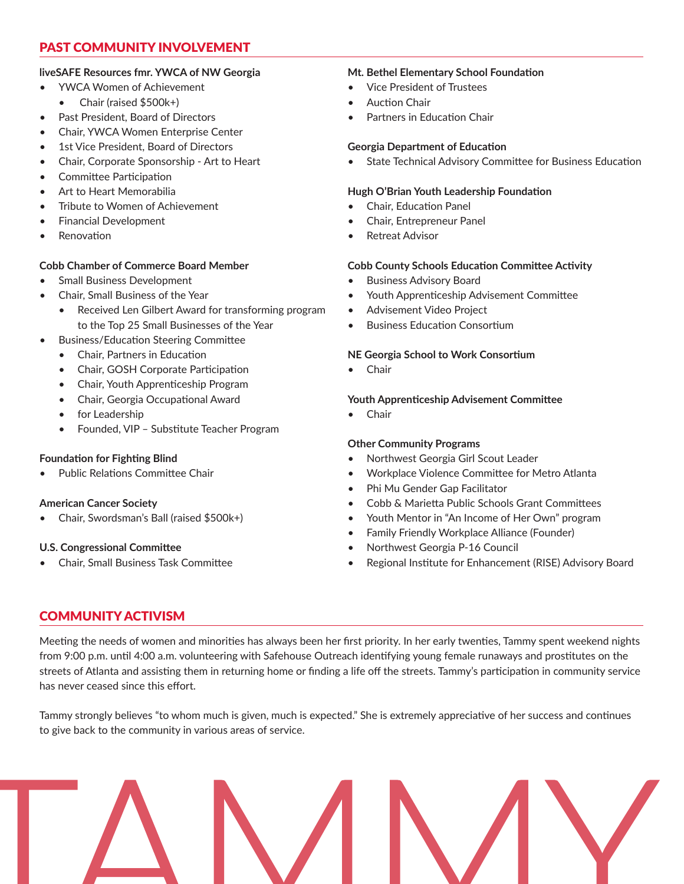# PAST COMMUNITY INVOLVEMENT

#### **liveSAFE Resources fmr. YWCA of NW Georgia**

- YWCA Women of Achievement
	- Chair (raised \$500k+)
- Past President, Board of Directors
- Chair, YWCA Women Enterprise Center
- 1st Vice President, Board of Directors
- Chair, Corporate Sponsorship Art to Heart
- Committee Participation
- Art to Heart Memorabilia
- Tribute to Women of Achievement
- Financial Development
- **Renovation**

## **Cobb Chamber of Commerce Board Member**

- Small Business Development
- Chair, Small Business of the Year
	- Received Len Gilbert Award for transforming program to the Top 25 Small Businesses of the Year
- Business/Education Steering Committee
	- Chair, Partners in Education
	- Chair, GOSH Corporate Participation
	- Chair, Youth Apprenticeship Program
	- Chair, Georgia Occupational Award
	- for Leadership
	- Founded, VIP Substitute Teacher Program

## **Foundation for Fighting Blind**

Public Relations Committee Chair

## **American Cancer Society**

• Chair, Swordsman's Ball (raised \$500k+)

## **U.S. Congressional Committee**

• Chair, Small Business Task Committee

# **Mt. Bethel Elementary School Foundation**

- Vice President of Trustees
- Auction Chair
- Partners in Education Chair

## **Georgia Department of Education**

• State Technical Advisory Committee for Business Education

# **Hugh O'Brian Youth Leadership Foundation**

- Chair, Education Panel
- Chair, Entrepreneur Panel
- **Retreat Advisor**

# **Cobb County Schools Education Committee Activity**

- Business Advisory Board
- Youth Apprenticeship Advisement Committee
- Advisement Video Project
- Business Education Consortium

# **NE Georgia School to Work Consortium**

• Chair

## **Youth Apprenticeship Advisement Committee**

• Chair

## **Other Community Programs**

- Northwest Georgia Girl Scout Leader
- Workplace Violence Committee for Metro Atlanta
- Phi Mu Gender Gap Facilitator
- Cobb & Marietta Public Schools Grant Committees
- Youth Mentor in "An Income of Her Own" program
- Family Friendly Workplace Alliance (Founder)
- Northwest Georgia P-16 Council
- Regional Institute for Enhancement (RISE) Advisory Board

# COMMUNITY ACTIVISM

Meeting the needs of women and minorities has always been her first priority. In her early twenties, Tammy spent weekend nights from 9:00 p.m. until 4:00 a.m. volunteering with Safehouse Outreach identifying young female runaways and prostitutes on the streets of Atlanta and assisting them in returning home or finding a life off the streets. Tammy's participation in community service has never ceased since this effort.

Tammy strongly believes "to whom much is given, much is expected." She is extremely appreciative of her success and continues to give back to the community in various areas of service.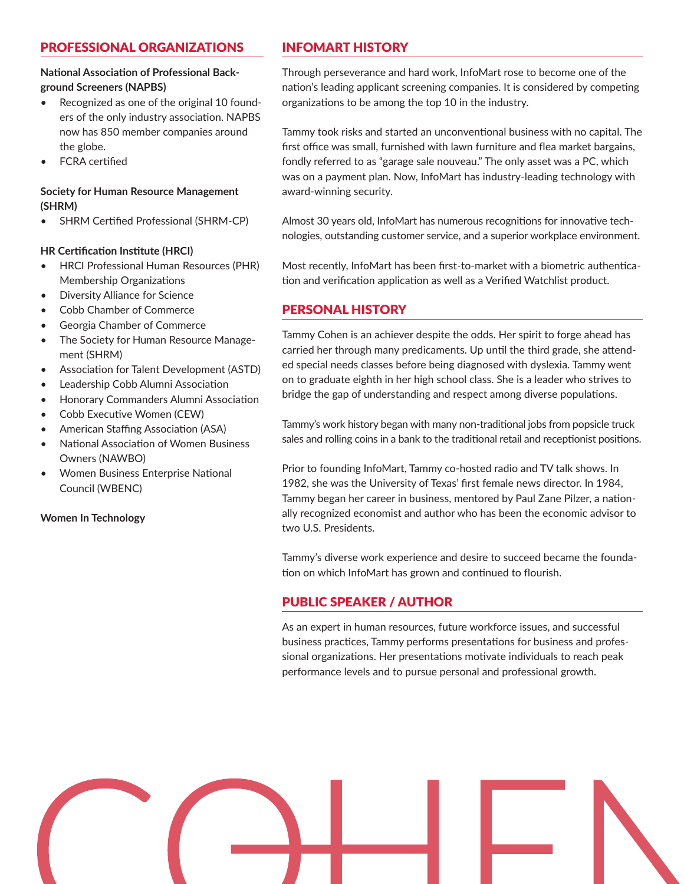# PROFESSIONAL ORGANIZATIONS

#### **National Association of Professional Background Screeners (NAPBS)**

- Recognized as one of the original 10 founders of the only industry association. NAPBS now has 850 member companies around the globe.
- FCRA certified

#### **Society for Human Resource Management (SHRM)**

• SHRM Certified Professional (SHRM-CP)

#### **HR Certification Institute (HRCI)**

- HRCI Professional Human Resources (PHR) Membership Organizations
- Diversity Alliance for Science
- Cobb Chamber of Commerce
- Georgia Chamber of Commerce
- The Society for Human Resource Management (SHRM)
- Association for Talent Development (ASTD)
- Leadership Cobb Alumni Association
- Honorary Commanders Alumni Association
- Cobb Executive Women (CEW)
- American Staffing Association (ASA)
- National Association of Women Business Owners (NAWBO)
- Women Business Enterprise National Council (WBENC)

#### **Women In Technology**

# INFOMART HISTORY

Through perseverance and hard work, InfoMart rose to become one of the nation's leading applicant screening companies. It is considered by competing organizations to be among the top 10 in the industry.

Tammy took risks and started an unconventional business with no capital. The first office was small, furnished with lawn furniture and flea market bargains, fondly referred to as "garage sale nouveau." The only asset was a PC, which was on a payment plan. Now, InfoMart has industry-leading technology with award-winning security.

Almost 30 years old, InfoMart has numerous recognitions for innovative technologies, outstanding customer service, and a superior workplace environment.

Most recently, InfoMart has been first-to-market with a biometric authentication and verification application as well as a Verified Watchlist product.

## PERSONAL HISTORY

Tammy Cohen is an achiever despite the odds. Her spirit to forge ahead has carried her through many predicaments. Up until the third grade, she attended special needs classes before being diagnosed with dyslexia. Tammy went on to graduate eighth in her high school class. She is a leader who strives to bridge the gap of understanding and respect among diverse populations.

Tammy's work history began with many non-traditional jobs from popsicle truck sales and rolling coins in a bank to the traditional retail and receptionist positions.

Prior to founding InfoMart, Tammy co-hosted radio and TV talk shows. In 1982, she was the University of Texas' first female news director. In 1984, Tammy began her career in business, mentored by Paul Zane Pilzer, a nationally recognized economist and author who has been the economic advisor to two U.S. Presidents.

Tammy's diverse work experience and desire to succeed became the foundation on which InfoMart has grown and continued to flourish.

## PUBLIC SPEAKER / AUTHOR

As an expert in human resources, future workforce issues, and successful business practices, Tammy performs presentations for business and professional organizations. Her presentations motivate individuals to reach peak performance levels and to pursue personal and professional growth.